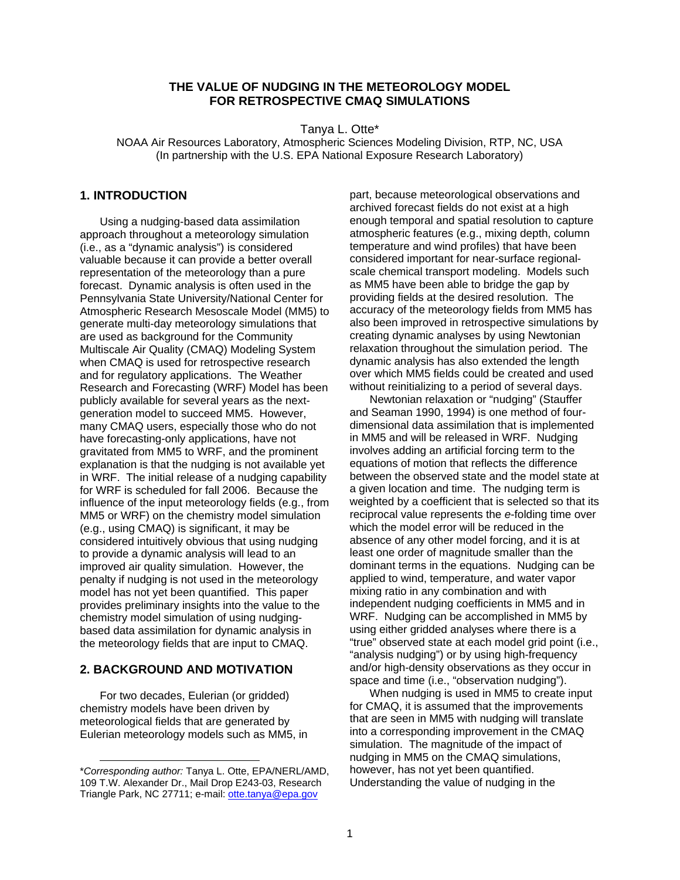# **THE VALUE OF NUDGING IN THE METEOROLOGY MODEL FOR RETROSPECTIVE CMAQ SIMULATIONS**

Tanya L. Otte\*

NOAA Air Resources Laboratory, Atmospheric Sciences Modeling Division, RTP, NC, USA (In partnership with the U.S. EPA National Exposure Research Laboratory)

# **1. INTRODUCTION**

Using a nudging-based data assimilation approach throughout a meteorology simulation (i.e., as a "dynamic analysis") is considered valuable because it can provide a better overall representation of the meteorology than a pure forecast. Dynamic analysis is often used in the Pennsylvania State University/National Center for Atmospheric Research Mesoscale Model (MM5) to generate multi-day meteorology simulations that are used as background for the Community Multiscale Air Quality (CMAQ) Modeling System when CMAQ is used for retrospective research and for regulatory applications. The Weather Research and Forecasting (WRF) Model has been publicly available for several years as the nextgeneration model to succeed MM5. However, many CMAQ users, especially those who do not have forecasting-only applications, have not gravitated from MM5 to WRF, and the prominent explanation is that the nudging is not available yet in WRF. The initial release of a nudging capability for WRF is scheduled for fall 2006. Because the influence of the input meteorology fields (e.g., from MM5 or WRF) on the chemistry model simulation (e.g., using CMAQ) is significant, it may be considered intuitively obvious that using nudging to provide a dynamic analysis will lead to an improved air quality simulation. However, the penalty if nudging is not used in the meteorology model has not yet been quantified. This paper provides preliminary insights into the value to the chemistry model simulation of using nudgingbased data assimilation for dynamic analysis in the meteorology fields that are input to CMAQ.

#### **2. BACKGROUND AND MOTIVATION**

For two decades, Eulerian (or gridded) chemistry models have been driven by meteorological fields that are generated by Eulerian meteorology models such as MM5, in

l

part, because meteorological observations and archived forecast fields do not exist at a high enough temporal and spatial resolution to capture atmospheric features (e.g., mixing depth, column temperature and wind profiles) that have been considered important for near-surface regionalscale chemical transport modeling. Models such as MM5 have been able to bridge the gap by providing fields at the desired resolution. The accuracy of the meteorology fields from MM5 has also been improved in retrospective simulations by creating dynamic analyses by using Newtonian relaxation throughout the simulation period. The dynamic analysis has also extended the length over which MM5 fields could be created and used without reinitializing to a period of several days.

Newtonian relaxation or "nudging" (Stauffer and Seaman 1990, 1994) is one method of fourdimensional data assimilation that is implemented in MM5 and will be released in WRF. Nudging involves adding an artificial forcing term to the equations of motion that reflects the difference between the observed state and the model state at a given location and time. The nudging term is weighted by a coefficient that is selected so that its reciprocal value represents the *e*-folding time over which the model error will be reduced in the absence of any other model forcing, and it is at least one order of magnitude smaller than the dominant terms in the equations. Nudging can be applied to wind, temperature, and water vapor mixing ratio in any combination and with independent nudging coefficients in MM5 and in WRF. Nudging can be accomplished in MM5 by using either gridded analyses where there is a "true" observed state at each model grid point (i.e., "analysis nudging") or by using high-frequency and/or high-density observations as they occur in space and time (i.e., "observation nudging").

When nudging is used in MM5 to create input for CMAQ, it is assumed that the improvements that are seen in MM5 with nudging will translate into a corresponding improvement in the CMAQ simulation. The magnitude of the impact of nudging in MM5 on the CMAQ simulations, however, has not yet been quantified. Understanding the value of nudging in the

<sup>\*</sup>*Corresponding author:* Tanya L. Otte, EPA/NERL/AMD, 109 T.W. Alexander Dr., Mail Drop E243-03, Research Triangle Park, NC 27711; e-mail: otte.tanya@epa.gov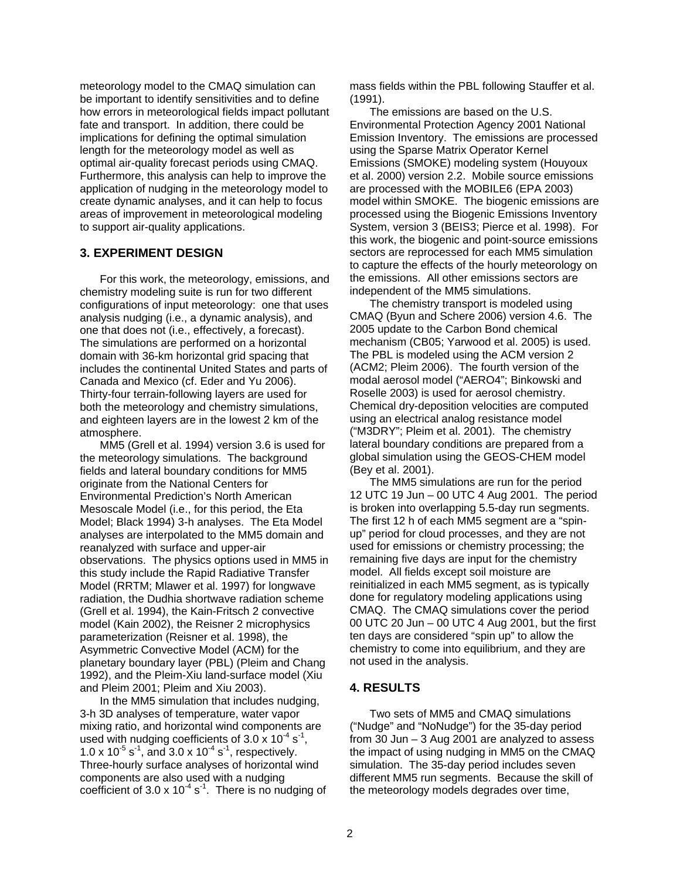meteorology model to the CMAQ simulation can be important to identify sensitivities and to define how errors in meteorological fields impact pollutant fate and transport. In addition, there could be implications for defining the optimal simulation length for the meteorology model as well as optimal air-quality forecast periods using CMAQ. Furthermore, this analysis can help to improve the application of nudging in the meteorology model to create dynamic analyses, and it can help to focus areas of improvement in meteorological modeling to support air-quality applications.

#### **3. EXPERIMENT DESIGN**

For this work, the meteorology, emissions, and chemistry modeling suite is run for two different configurations of input meteorology: one that uses analysis nudging (i.e., a dynamic analysis), and one that does not (i.e., effectively, a forecast). The simulations are performed on a horizontal domain with 36-km horizontal grid spacing that includes the continental United States and parts of Canada and Mexico (cf. Eder and Yu 2006). Thirty-four terrain-following layers are used for both the meteorology and chemistry simulations, and eighteen layers are in the lowest 2 km of the atmosphere.

MM5 (Grell et al. 1994) version 3.6 is used for the meteorology simulations. The background fields and lateral boundary conditions for MM5 originate from the National Centers for Environmental Prediction's North American Mesoscale Model (i.e., for this period, the Eta Model; Black 1994) 3-h analyses. The Eta Model analyses are interpolated to the MM5 domain and reanalyzed with surface and upper-air observations. The physics options used in MM5 in this study include the Rapid Radiative Transfer Model (RRTM; Mlawer et al. 1997) for longwave radiation, the Dudhia shortwave radiation scheme (Grell et al. 1994), the Kain-Fritsch 2 convective model (Kain 2002), the Reisner 2 microphysics parameterization (Reisner et al. 1998), the Asymmetric Convective Model (ACM) for the planetary boundary layer (PBL) (Pleim and Chang 1992), and the Pleim-Xiu land-surface model (Xiu and Pleim 2001; Pleim and Xiu 2003).

In the MM5 simulation that includes nudging, 3-h 3D analyses of temperature, water vapor mixing ratio, and horizontal wind components are used with nudging coefficients of  $3.0 \times 10^{-4}$  s<sup>-1</sup>, 1.0 x  $10^{-5}$  s<sup>-1</sup>, and 3.0 x  $10^{-4}$  s<sup>-1</sup>, respectively. Three-hourly surface analyses of horizontal wind components are also used with a nudging coefficient of  $3.0 \times 10^{-4}$  s<sup>-1</sup>. There is no nudging of mass fields within the PBL following Stauffer et al. (1991).

The emissions are based on the U.S. Environmental Protection Agency 2001 National Emission Inventory. The emissions are processed using the Sparse Matrix Operator Kernel Emissions (SMOKE) modeling system (Houyoux et al. 2000) version 2.2. Mobile source emissions are processed with the MOBILE6 (EPA 2003) model within SMOKE. The biogenic emissions are processed using the Biogenic Emissions Inventory System, version 3 (BEIS3; Pierce et al. 1998). For this work, the biogenic and point-source emissions sectors are reprocessed for each MM5 simulation to capture the effects of the hourly meteorology on the emissions. All other emissions sectors are independent of the MM5 simulations.

The chemistry transport is modeled using CMAQ (Byun and Schere 2006) version 4.6. The 2005 update to the Carbon Bond chemical mechanism (CB05; Yarwood et al. 2005) is used. The PBL is modeled using the ACM version 2 (ACM2; Pleim 2006). The fourth version of the modal aerosol model ("AERO4"; Binkowski and Roselle 2003) is used for aerosol chemistry. Chemical dry-deposition velocities are computed using an electrical analog resistance model ("M3DRY"; Pleim et al. 2001). The chemistry lateral boundary conditions are prepared from a global simulation using the GEOS-CHEM model (Bey et al. 2001).

The MM5 simulations are run for the period 12 UTC 19 Jun – 00 UTC 4 Aug 2001. The period is broken into overlapping 5.5-day run segments. The first 12 h of each MM5 segment are a "spinup" period for cloud processes, and they are not used for emissions or chemistry processing; the remaining five days are input for the chemistry model. All fields except soil moisture are reinitialized in each MM5 segment, as is typically done for regulatory modeling applications using CMAQ. The CMAQ simulations cover the period 00 UTC 20 Jun – 00 UTC 4 Aug 2001, but the first ten days are considered "spin up" to allow the chemistry to come into equilibrium, and they are not used in the analysis.

# **4. RESULTS**

Two sets of MM5 and CMAQ simulations ("Nudge" and "NoNudge") for the 35-day period from 30 Jun – 3 Aug 2001 are analyzed to assess the impact of using nudging in MM5 on the CMAQ simulation. The 35-day period includes seven different MM5 run segments. Because the skill of the meteorology models degrades over time,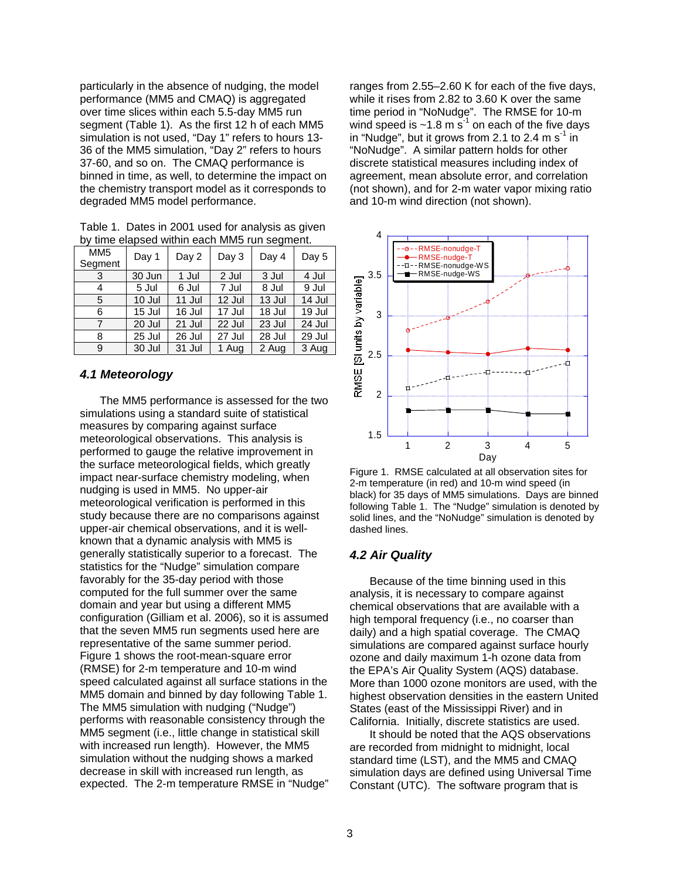particularly in the absence of nudging, the model performance (MM5 and CMAQ) is aggregated over time slices within each 5.5-day MM5 run segment (Table 1). As the first 12 h of each MM5 simulation is not used, "Day 1" refers to hours 13- 36 of the MM5 simulation, "Day 2" refers to hours 37-60, and so on. The CMAQ performance is binned in time, as well, to determine the impact on the chemistry transport model as it corresponds to degraded MM5 model performance.

Table 1. Dates in 2001 used for analysis as given by time elapsed within each MM5 run segment.

| MM <sub>5</sub><br>Segment | Day 1  | Day 2  | Day 3  | Day 4    | Day 5  |
|----------------------------|--------|--------|--------|----------|--------|
| 3                          | 30 Jun | 1 Jul  | 2 Jul  | 3 Jul    | 4 Jul  |
| 4                          | 5 Jul  | 6 Jul  | 7 Jul  | 8 Jul    | 9 Jul  |
| 5                          | 10 Jul | 11 Jul | 12 Jul | $13$ Jul | 14 Jul |
| 6                          | 15 Jul | 16 Jul | 17 Jul | 18 Jul   | 19 Jul |
|                            | 20 Jul | 21 Jul | 22 Jul | 23 Jul   | 24 Jul |
| 8                          | 25 Jul | 26 Jul | 27 Jul | 28 Jul   | 29 Jul |
| 9                          | 30 Jul | 31 Jul | 1 Aug  | 2 Aug    | 3 Aug  |

# *4.1 Meteorology*

The MM5 performance is assessed for the two simulations using a standard suite of statistical measures by comparing against surface meteorological observations. This analysis is performed to gauge the relative improvement in the surface meteorological fields, which greatly impact near-surface chemistry modeling, when nudging is used in MM5. No upper-air meteorological verification is performed in this study because there are no comparisons against upper-air chemical observations, and it is wellknown that a dynamic analysis with MM5 is generally statistically superior to a forecast. The statistics for the "Nudge" simulation compare favorably for the 35-day period with those computed for the full summer over the same domain and year but using a different MM5 configuration (Gilliam et al. 2006), so it is assumed that the seven MM5 run segments used here are representative of the same summer period. Figure 1 shows the root-mean-square error (RMSE) for 2-m temperature and 10-m wind speed calculated against all surface stations in the MM5 domain and binned by day following Table 1. The MM5 simulation with nudging ("Nudge") performs with reasonable consistency through the MM5 segment (i.e., little change in statistical skill with increased run length). However, the MM5 simulation without the nudging shows a marked decrease in skill with increased run length, as expected. The 2-m temperature RMSE in "Nudge"

ranges from 2.55–2.60 K for each of the five days, while it rises from 2.82 to 3.60 K over the same time period in "NoNudge". The RMSE for 10-m wind speed is  $\sim$ 1.8 m s<sup>-1</sup> on each of the five days in "Nudge", but it grows from 2.1 to 2.4 m  $s^{-1}$  in "NoNudge". A similar pattern holds for other discrete statistical measures including index of agreement, mean absolute error, and correlation (not shown), and for 2-m water vapor mixing ratio and 10-m wind direction (not shown).



Figure 1. RMSE calculated at all observation sites for 2-m temperature (in red) and 10-m wind speed (in black) for 35 days of MM5 simulations. Days are binned following Table 1. The "Nudge" simulation is denoted by solid lines, and the "NoNudge" simulation is denoted by dashed lines.

# *4.2 Air Quality*

Because of the time binning used in this analysis, it is necessary to compare against chemical observations that are available with a high temporal frequency (i.e., no coarser than daily) and a high spatial coverage. The CMAQ simulations are compared against surface hourly ozone and daily maximum 1-h ozone data from the EPA's Air Quality System (AQS) database. More than 1000 ozone monitors are used, with the highest observation densities in the eastern United States (east of the Mississippi River) and in California. Initially, discrete statistics are used.

It should be noted that the AQS observations are recorded from midnight to midnight, local standard time (LST), and the MM5 and CMAQ simulation days are defined using Universal Time Constant (UTC). The software program that is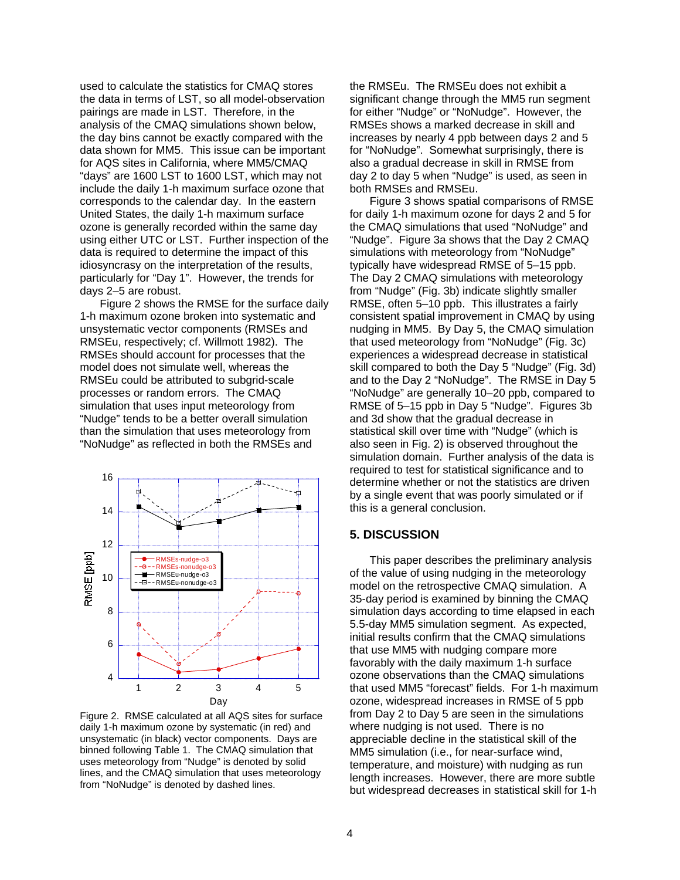used to calculate the statistics for CMAQ stores the data in terms of LST, so all model-observation pairings are made in LST. Therefore, in the analysis of the CMAQ simulations shown below, the day bins cannot be exactly compared with the data shown for MM5. This issue can be important for AQS sites in California, where MM5/CMAQ "days" are 1600 LST to 1600 LST, which may not include the daily 1-h maximum surface ozone that corresponds to the calendar day. In the eastern United States, the daily 1-h maximum surface ozone is generally recorded within the same day using either UTC or LST. Further inspection of the data is required to determine the impact of this idiosyncrasy on the interpretation of the results, particularly for "Day 1". However, the trends for days 2–5 are robust.

Figure 2 shows the RMSE for the surface daily 1-h maximum ozone broken into systematic and unsystematic vector components (RMSEs and RMSEu, respectively; cf. Willmott 1982). The RMSEs should account for processes that the model does not simulate well, whereas the RMSEu could be attributed to subgrid-scale processes or random errors. The CMAQ simulation that uses input meteorology from "Nudge" tends to be a better overall simulation than the simulation that uses meteorology from "NoNudge" as reflected in both the RMSEs and



Figure 2. RMSE calculated at all AQS sites for surface daily 1-h maximum ozone by systematic (in red) and unsystematic (in black) vector components. Days are binned following Table 1. The CMAQ simulation that uses meteorology from "Nudge" is denoted by solid lines, and the CMAQ simulation that uses meteorology from "NoNudge" is denoted by dashed lines.

the RMSEu. The RMSEu does not exhibit a significant change through the MM5 run segment for either "Nudge" or "NoNudge". However, the RMSEs shows a marked decrease in skill and increases by nearly 4 ppb between days 2 and 5 for "NoNudge". Somewhat surprisingly, there is also a gradual decrease in skill in RMSE from day 2 to day 5 when "Nudge" is used, as seen in both RMSEs and RMSEu.

Figure 3 shows spatial comparisons of RMSE for daily 1-h maximum ozone for days 2 and 5 for the CMAQ simulations that used "NoNudge" and "Nudge". Figure 3a shows that the Day 2 CMAQ simulations with meteorology from "NoNudge" typically have widespread RMSE of 5–15 ppb. The Day 2 CMAQ simulations with meteorology from "Nudge" (Fig. 3b) indicate slightly smaller RMSE, often 5–10 ppb. This illustrates a fairly consistent spatial improvement in CMAQ by using nudging in MM5. By Day 5, the CMAQ simulation that used meteorology from "NoNudge" (Fig. 3c) experiences a widespread decrease in statistical skill compared to both the Day 5 "Nudge" (Fig. 3d) and to the Day 2 "NoNudge". The RMSE in Day 5 "NoNudge" are generally 10–20 ppb, compared to RMSE of 5–15 ppb in Day 5 "Nudge". Figures 3b and 3d show that the gradual decrease in statistical skill over time with "Nudge" (which is also seen in Fig. 2) is observed throughout the simulation domain. Further analysis of the data is required to test for statistical significance and to determine whether or not the statistics are driven by a single event that was poorly simulated or if this is a general conclusion.

#### **5. DISCUSSION**

This paper describes the preliminary analysis of the value of using nudging in the meteorology model on the retrospective CMAQ simulation. A 35-day period is examined by binning the CMAQ simulation days according to time elapsed in each 5.5-day MM5 simulation segment. As expected, initial results confirm that the CMAQ simulations that use MM5 with nudging compare more favorably with the daily maximum 1-h surface ozone observations than the CMAQ simulations that used MM5 "forecast" fields. For 1-h maximum ozone, widespread increases in RMSE of 5 ppb from Day 2 to Day 5 are seen in the simulations where nudging is not used. There is no appreciable decline in the statistical skill of the MM5 simulation (i.e., for near-surface wind, temperature, and moisture) with nudging as run length increases. However, there are more subtle but widespread decreases in statistical skill for 1-h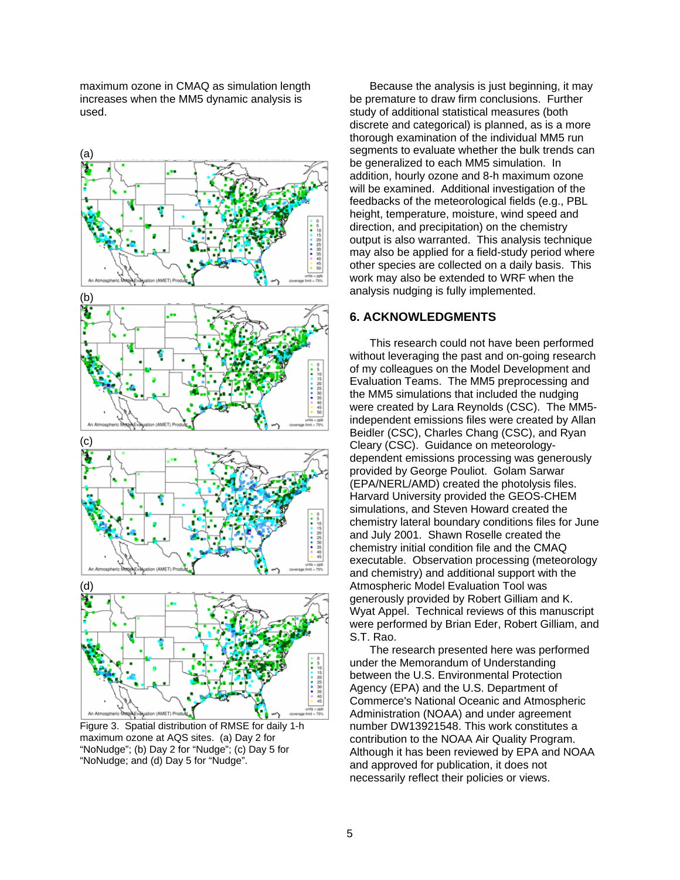maximum ozone in CMAQ as simulation length increases when the MM5 dynamic analysis is used.



Figure 3. Spatial distribution of RMSE for daily 1-h maximum ozone at AQS sites. (a) Day 2 for "NoNudge"; (b) Day 2 for "Nudge"; (c) Day 5 for "NoNudge; and (d) Day 5 for "Nudge".

Because the analysis is just beginning, it may be premature to draw firm conclusions. Further study of additional statistical measures (both discrete and categorical) is planned, as is a more thorough examination of the individual MM5 run segments to evaluate whether the bulk trends can be generalized to each MM5 simulation. In addition, hourly ozone and 8-h maximum ozone will be examined. Additional investigation of the feedbacks of the meteorological fields (e.g., PBL height, temperature, moisture, wind speed and direction, and precipitation) on the chemistry output is also warranted. This analysis technique may also be applied for a field-study period where other species are collected on a daily basis. This work may also be extended to WRF when the analysis nudging is fully implemented.

### **6. ACKNOWLEDGMENTS**

This research could not have been performed without leveraging the past and on-going research of my colleagues on the Model Development and Evaluation Teams. The MM5 preprocessing and the MM5 simulations that included the nudging were created by Lara Reynolds (CSC). The MM5 independent emissions files were created by Allan Beidler (CSC), Charles Chang (CSC), and Ryan Cleary (CSC). Guidance on meteorologydependent emissions processing was generously provided by George Pouliot. Golam Sarwar (EPA/NERL/AMD) created the photolysis files. Harvard University provided the GEOS-CHEM simulations, and Steven Howard created the chemistry lateral boundary conditions files for June and July 2001. Shawn Roselle created the chemistry initial condition file and the CMAQ executable. Observation processing (meteorology and chemistry) and additional support with the Atmospheric Model Evaluation Tool was generously provided by Robert Gilliam and K. Wyat Appel. Technical reviews of this manuscript were performed by Brian Eder, Robert Gilliam, and S.T. Rao.

The research presented here was performed under the Memorandum of Understanding between the U.S. Environmental Protection Agency (EPA) and the U.S. Department of Commerce's National Oceanic and Atmospheric Administration (NOAA) and under agreement number DW13921548. This work constitutes a contribution to the NOAA Air Quality Program. Although it has been reviewed by EPA and NOAA and approved for publication, it does not necessarily reflect their policies or views.